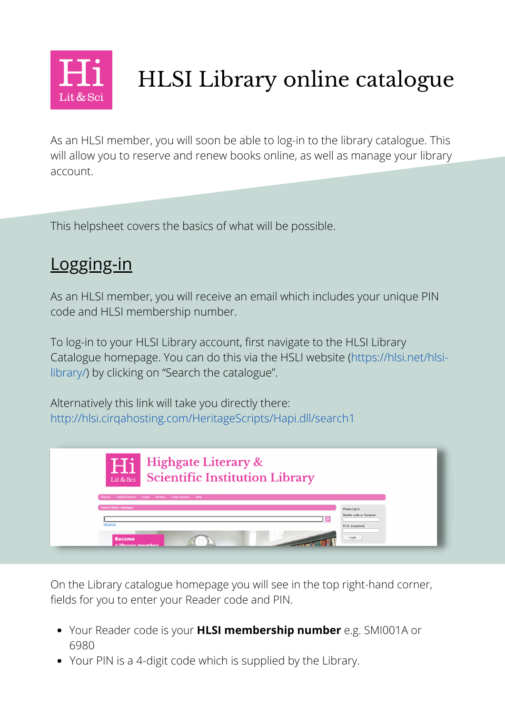

# HLSI Library online catalogue

As an HLSI member, you will soon be able to log-in to the library catalogue. This will allow you to reserve and renew books online, as well as manage your library account.

This helpsheet covers the basics of what will be possible.

## Logging-in

As an HLSI member, you will receive an email which includes your unique PIN code and HLSI membership number.

To log-in to your HLSI Library account, first navigate to the HLSI Library Catalogue homepage. You can do this via the HSLI website [\(https://hlsi.net/hlsi](https://hlsi.net/hlsi-library/)library/) by clicking on "Search the catalogue".

Alternatively this link will take you directly there: <http://hlsi.cirqahosting.com/HeritageScripts/Hapi.dll/search1>

| <b>Highgate Literary &amp;</b><br>Hi<br>Lit <sub>Lit &amp; Sci</sub> Scientific Institution Library |                                                              |
|-----------------------------------------------------------------------------------------------------|--------------------------------------------------------------|
| Guided Search   Login   History   Clear Session   Help<br>Search                                    |                                                              |
| Search library catalogue<br>Advanced                                                                | Please log in<br>Reader code or Surname<br>P.I.N. (required) |
| <b>Become</b><br>a lihrary mamhar                                                                   | Login                                                        |

On the Library catalogue homepage you will see in the top right-hand corner, fields for you to enter your Reader code and PIN.

- Your Reader code is your **HLSI membership number** e.g. SMI001A or 6980
- Your PIN is a 4-digit code which is supplied by the Library.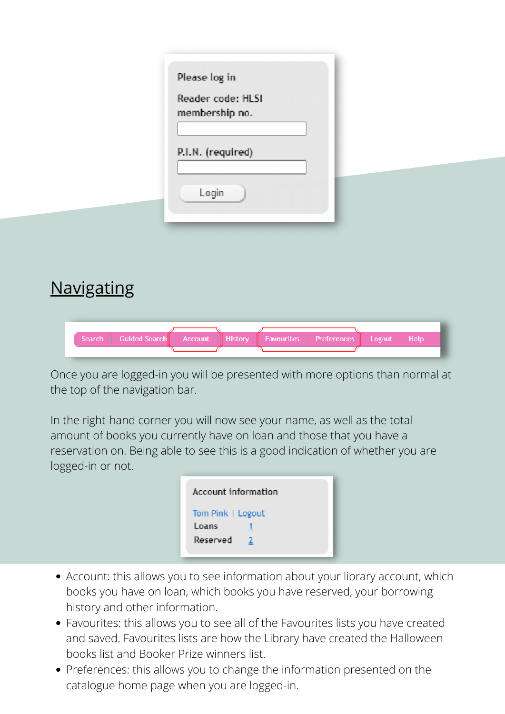### **Navigating**

| Search   Guided Search   Account   History   Favourites   Preferences   Logout   Help |  |  |  |
|---------------------------------------------------------------------------------------|--|--|--|
|                                                                                       |  |  |  |

Once you are logged-in you will be presented with more options than normal at the top of the navigation bar.

In the right-hand corner you will now see your name, as well as the total amount of books you currently have on loan and those that you have a reservation on. Being able to see this is a good indication of whether you are logged-in or not.

| Account information                    |  |
|----------------------------------------|--|
| Tom Pink   Logout<br>Loans<br>Reserved |  |

- Account: this allows you to see information about your library account, which books you have on loan, which books you have reserved, your borrowing history and other information.
- Favourites: this allows you to see all of the Favourites lists you have created and saved. Favourites lists are how the Library have created the [Halloween](http://hlsi.cirqahosting.com/HeritageScripts/Hapi.dll/retrieve2?SetID=91DDCDE1-B7DC-4724-8DD7-F79DE714C755&dispfmt=b) books list and Booker Prize [winners](http://hlsi.cirqahosting.com/HeritageScripts/Hapi.dll/retrieve2?SetID=DE6D6B8A-AEBA-4041-8C6B-0E1522F60A6F&DataSetName=LIVEDATA) list.
- Preferences: this allows you to change the information presented on the catalogue home page when you are logged-in.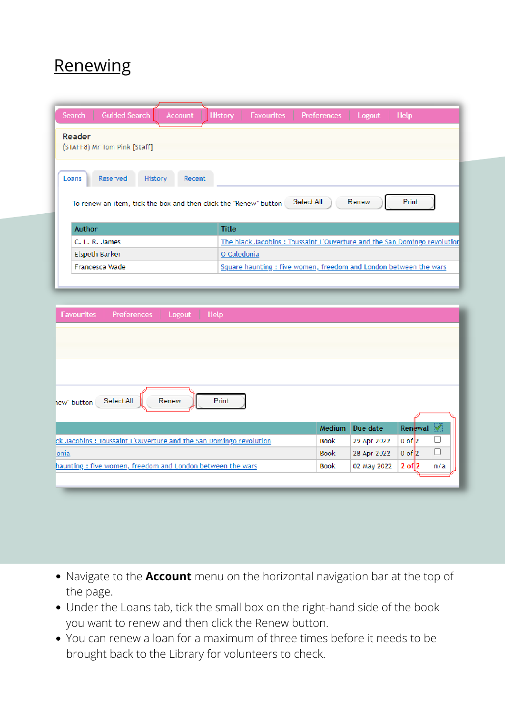#### **Renewing**

| <b>Guided Search</b><br>Search<br><b>Account</b>                                                           | History<br>Help<br><b>Favourites</b><br><b>Preferences</b><br>Logout     |
|------------------------------------------------------------------------------------------------------------|--------------------------------------------------------------------------|
| Reader<br>(STAFF8) Mr Tom Pink [Staff]                                                                     |                                                                          |
| Reserved<br>History<br>Loans<br>Recent<br>To renew an item, tick the box and then click the "Renew" button | Print<br>Select All<br>Renew                                             |
| <b>Author</b>                                                                                              | <b>Title</b>                                                             |
| C. L. R. James                                                                                             | The black Jacobins: Toussaint L'Ouverture and the San Domingo revolution |
|                                                                                                            |                                                                          |
| <b>Elspeth Barker</b>                                                                                      | O Caledonia                                                              |

| Print<br>Select All<br>Renew<br>hew" button<br>Renewal <<br><b>Medium</b><br>Due date<br>ck Jacobins: Toussaint L'Ouverture and the San Domingo revolution<br>Book<br>29 Apr 2022<br>$0$ of $ 2 $<br>lonia<br>L<br><b>Book</b><br>$0$ of $ 2 $<br>28 Apr 2022<br>$2$ of $ 2$<br>haunting : five women, freedom and London between the wars<br><b>Book</b><br>02 May 2022<br>n/a | Help<br>Logout<br><b>Favourites</b><br><b>Preferences</b> |  |  |
|---------------------------------------------------------------------------------------------------------------------------------------------------------------------------------------------------------------------------------------------------------------------------------------------------------------------------------------------------------------------------------|-----------------------------------------------------------|--|--|
|                                                                                                                                                                                                                                                                                                                                                                                 |                                                           |  |  |
|                                                                                                                                                                                                                                                                                                                                                                                 |                                                           |  |  |
|                                                                                                                                                                                                                                                                                                                                                                                 |                                                           |  |  |
|                                                                                                                                                                                                                                                                                                                                                                                 |                                                           |  |  |
|                                                                                                                                                                                                                                                                                                                                                                                 |                                                           |  |  |
|                                                                                                                                                                                                                                                                                                                                                                                 |                                                           |  |  |
|                                                                                                                                                                                                                                                                                                                                                                                 |                                                           |  |  |
|                                                                                                                                                                                                                                                                                                                                                                                 |                                                           |  |  |

- Navigate to the **Account** menu on the horizontal navigation bar at the top of the page.
- Under the Loans tab, tick the small box on the right-hand side of the book you want to renew and then click the Renew button.
- You can renew a loan for a maximum of three times before it needs to be brought back to the Library for volunteers to check.